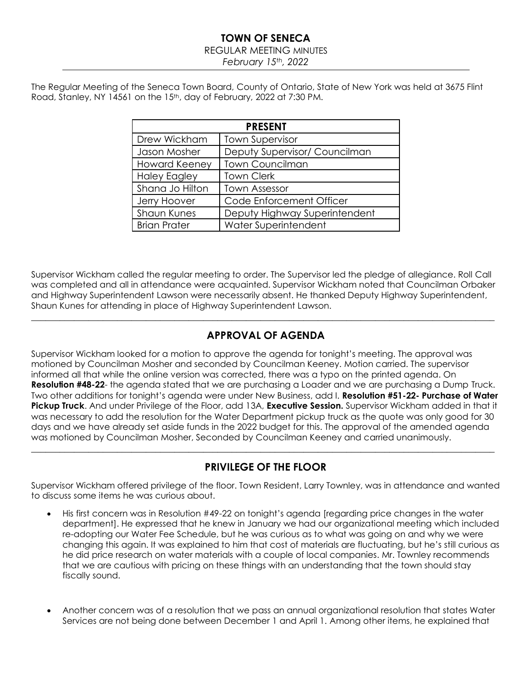REGULAR MEETING MINUTES

*February 15th, 2022*

The Regular Meeting of the Seneca Town Board, County of Ontario, State of New York was held at 3675 Flint Road, Stanley, NY 14561 on the 15<sup>th</sup>, day of February, 2022 at 7:30 PM.

| <b>PRESENT</b>       |                               |  |  |  |  |
|----------------------|-------------------------------|--|--|--|--|
| Drew Wickham         | <b>Town Supervisor</b>        |  |  |  |  |
| Jason Mosher         | Deputy Supervisor/ Councilman |  |  |  |  |
| <b>Howard Keeney</b> | <b>Town Councilman</b>        |  |  |  |  |
| <b>Haley Eagley</b>  | <b>Town Clerk</b>             |  |  |  |  |
| Shana Jo Hilton      | <b>Town Assessor</b>          |  |  |  |  |
| Jerry Hoover         | Code Enforcement Officer      |  |  |  |  |
| <b>Shaun Kunes</b>   | Deputy Highway Superintendent |  |  |  |  |
| <b>Brian Prater</b>  | Water Superintendent          |  |  |  |  |

Supervisor Wickham called the regular meeting to order. The Supervisor led the pledge of allegiance. Roll Call was completed and all in attendance were acquainted. Supervisor Wickham noted that Councilman Orbaker and Highway Superintendent Lawson were necessarily absent. He thanked Deputy Highway Superintendent, Shaun Kunes for attending in place of Highway Superintendent Lawson.

\_\_\_\_\_\_\_\_\_\_\_\_\_\_\_\_\_\_\_\_\_\_\_\_\_\_\_\_\_\_\_\_\_\_\_\_\_\_\_\_\_\_\_\_\_\_\_\_\_\_\_\_\_\_\_\_\_\_\_\_\_\_\_\_\_\_\_\_\_\_\_\_\_\_\_\_\_\_\_\_\_\_\_\_\_\_\_\_\_\_\_\_\_\_\_\_\_

# **APPROVAL OF AGENDA**

Supervisor Wickham looked for a motion to approve the agenda for tonight's meeting. The approval was motioned by Councilman Mosher and seconded by Councilman Keeney. Motion carried. The supervisor informed all that while the online version was corrected, there was a typo on the printed agenda. On **Resolution #48-22**- the agenda stated that we are purchasing a Loader and we are purchasing a Dump Truck. Two other additions for tonight's agenda were under New Business, add I. **Resolution #51-22- Purchase of Water Pickup Truck**. And under Privilege of the Floor, add 13A, **Executive Session.** Supervisor Wickham added in that it was necessary to add the resolution for the Water Department pickup truck as the quote was only good for 30 days and we have already set aside funds in the 2022 budget for this. The approval of the amended agenda was motioned by Councilman Mosher, Seconded by Councilman Keeney and carried unanimously.

# **PRIVILEGE OF THE FLOOR**

\_\_\_\_\_\_\_\_\_\_\_\_\_\_\_\_\_\_\_\_\_\_\_\_\_\_\_\_\_\_\_\_\_\_\_\_\_\_\_\_\_\_\_\_\_\_\_\_\_\_\_\_\_\_\_\_\_\_\_\_\_\_\_\_\_\_\_\_\_\_\_\_\_\_\_\_\_\_\_\_\_\_\_\_\_\_\_\_\_\_\_\_\_\_\_\_\_

Supervisor Wickham offered privilege of the floor. Town Resident, Larry Townley, was in attendance and wanted to discuss some items he was curious about.

- His first concern was in Resolution #49-22 on tonight's agenda [regarding price changes in the water department]. He expressed that he knew in January we had our organizational meeting which included re-adopting our Water Fee Schedule, but he was curious as to what was going on and why we were changing this again. It was explained to him that cost of materials are fluctuating, but he's still curious as he did price research on water materials with a couple of local companies. Mr. Townley recommends that we are cautious with pricing on these things with an understanding that the town should stay fiscally sound.
- Another concern was of a resolution that we pass an annual organizational resolution that states Water Services are not being done between December 1 and April 1. Among other items, he explained that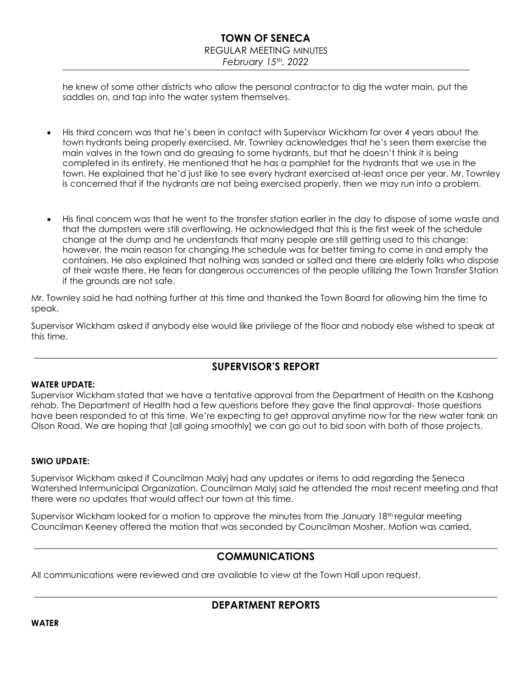## REGULAR MEETING MINUTES

*February 15th, 2022*

he knew of some other districts who allow the personal contractor to dig the water main, put the saddles on, and tap into the water system themselves.

- His third concern was that he's been in contact with Supervisor Wickham for over 4 years about the town hydrants being properly exercised. Mr. Townley acknowledges that he's seen them exercise the main valves in the town and do greasing to some hydrants, but that he doesn't think it is being completed in its entirety. He mentioned that he has a pamphlet for the hydrants that we use in the town. He explained that he'd just like to see every hydrant exercised at-least once per year. Mr. Townley is concerned that if the hydrants are not being exercised properly, then we may run into a problem.
- His final concern was that he went to the transfer station earlier in the day to dispose of some waste and that the dumpsters were still overflowing. He acknowledged that this is the first week of the schedule change at the dump and he understands that many people are still getting used to this change; however, the main reason for changing the schedule was for better timing to come in and empty the containers. He also explained that nothing was sanded or salted and there are elderly folks who dispose of their waste there. He fears for dangerous occurrences of the people utilizing the Town Transfer Station if the grounds are not safe.

Mr. Townley said he had nothing further at this time and thanked the Town Board for allowing him the time to speak.

Supervisor Wickham asked if anybody else would like privilege of the floor and nobody else wished to speak at this time.

## \_\_\_\_\_\_\_\_\_\_\_\_\_\_\_\_\_\_\_\_\_\_\_\_\_\_\_\_\_\_\_\_\_\_\_\_\_\_\_\_\_\_\_\_\_\_\_\_\_\_\_\_\_\_\_\_\_\_\_\_\_\_\_\_\_\_\_\_\_\_\_\_\_\_\_\_\_\_\_\_\_\_\_\_\_\_\_\_\_\_\_\_\_\_\_\_\_ **SUPERVISOR'S REPORT**

### **WATER UPDATE:**

Supervisor Wickham stated that we have a tentative approval from the Department of Health on the Kashong rehab. The Department of Health had a few questions before they gave the final approval- those questions have been responded to at this time. We're expecting to get approval anytime now for the new water tank on Olson Road. We are hoping that [all going smoothly] we can go out to bid soon with both of those projects.

### **SWIO UPDATE:**

Supervisor Wickham asked if Councilman Malyj had any updates or items to add regarding the Seneca Watershed Intermunicipal Organization. Councilman Malyj said he attended the most recent meeting and that there were no updates that would affect our town at this time.

Supervisor Wickham looked for a motion to approve the minutes from the January 18<sup>th</sup> regular meeting Councilman Keeney offered the motion that was seconded by Councilman Mosher. Motion was carried.

## \_\_\_\_\_\_\_\_\_\_\_\_\_\_\_\_\_\_\_\_\_\_\_\_\_\_\_\_\_\_\_\_\_\_\_\_\_\_\_\_\_\_\_\_\_\_\_\_\_\_\_\_\_\_\_\_\_\_\_\_\_\_\_\_\_\_\_\_\_\_\_\_\_\_\_\_\_\_\_\_\_\_\_\_\_\_\_\_\_\_\_\_\_\_\_\_\_ **COMMUNICATIONS**

All communications were reviewed and are available to view at the Town Hall upon request.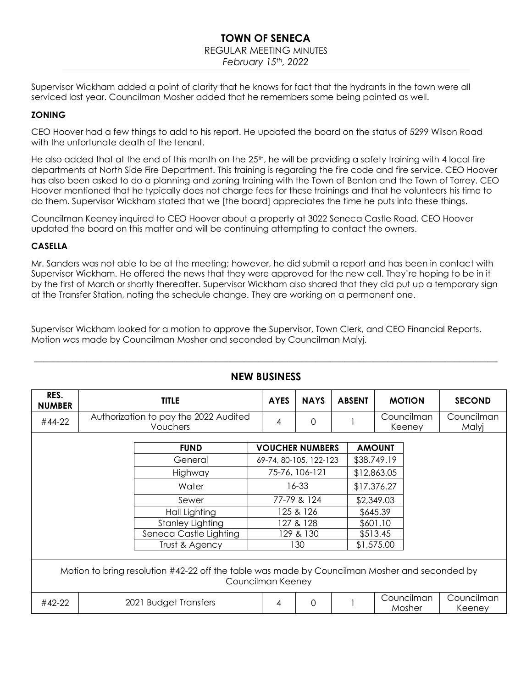### REGULAR MEETING MINUTES

*February 15th, 2022*

Supervisor Wickham added a point of clarity that he knows for fact that the hydrants in the town were all serviced last year. Councilman Mosher added that he remembers some being painted as well.

## **ZONING**

CEO Hoover had a few things to add to his report. He updated the board on the status of 5299 Wilson Road with the unfortunate death of the tenant.

He also added that at the end of this month on the  $25<sup>th</sup>$ , he will be providing a safety training with 4 local fire departments at North Side Fire Department. This training is regarding the fire code and fire service. CEO Hoover has also been asked to do a planning and zoning training with the Town of Benton and the Town of Torrey. CEO Hoover mentioned that he typically does not charge fees for these trainings and that he volunteers his time to do them. Supervisor Wickham stated that we [the board] appreciates the time he puts into these things.

Councilman Keeney inquired to CEO Hoover about a property at 3022 Seneca Castle Road. CEO Hoover updated the board on this matter and will be continuing attempting to contact the owners.

### **CASELLA**

Mr. Sanders was not able to be at the meeting; however, he did submit a report and has been in contact with Supervisor Wickham. He offered the news that they were approved for the new cell. They're hoping to be in it by the first of March or shortly thereafter. Supervisor Wickham also shared that they did put up a temporary sign at the Transfer Station, noting the schedule change. They are working on a permanent one.

Supervisor Wickham looked for a motion to approve the Supervisor, Town Clerk, and CEO Financial Reports. Motion was made by Councilman Mosher and seconded by Councilman Malyj.

| RES.<br><b>NUMBER</b>                                                                                              | <b>TITLE</b>                                      |                         |                        | <b>AYES</b> | <b>NAYS</b> | <b>ABSENT</b> |            | <b>MOTION</b>        |                      | <b>SECOND</b>       |
|--------------------------------------------------------------------------------------------------------------------|---------------------------------------------------|-------------------------|------------------------|-------------|-------------|---------------|------------|----------------------|----------------------|---------------------|
| #44-22                                                                                                             | Authorization to pay the 2022 Audited<br>Vouchers |                         |                        | 4           | $\Omega$    |               |            | Councilman<br>Keeney |                      | Councilman<br>Malyj |
|                                                                                                                    |                                                   |                         |                        |             |             |               |            |                      |                      |                     |
|                                                                                                                    |                                                   | <b>FUND</b>             | <b>VOUCHER NUMBERS</b> |             |             | <b>AMOUNT</b> |            |                      |                      |                     |
|                                                                                                                    |                                                   | General                 | 69-74, 80-105, 122-123 |             |             | \$38,749.19   |            |                      |                      |                     |
|                                                                                                                    |                                                   | Highway                 | 75-76, 106-121         |             |             | \$12,863.05   |            |                      |                      |                     |
|                                                                                                                    |                                                   | Water                   | 16-33                  |             |             | \$17,376.27   |            |                      |                      |                     |
|                                                                                                                    |                                                   | Sewer                   | 77-79 & 124            |             | \$2,349.03  |               |            |                      |                      |                     |
|                                                                                                                    |                                                   | Hall Lighting           | 125 & 126              |             | \$645.39    |               |            |                      |                      |                     |
|                                                                                                                    |                                                   | <b>Stanley Lighting</b> | 127 & 128              |             |             | \$601.10      |            |                      |                      |                     |
|                                                                                                                    |                                                   | Seneca Castle Lighting  | 129 & 130              |             |             | \$513.45      |            |                      |                      |                     |
|                                                                                                                    |                                                   | Trust & Agency          |                        | 130         |             |               | \$1,575.00 |                      |                      |                     |
|                                                                                                                    |                                                   |                         |                        |             |             |               |            |                      |                      |                     |
| Motion to bring resolution #42-22 off the table was made by Councilman Mosher and seconded by<br>Councilman Keeney |                                                   |                         |                        |             |             |               |            |                      |                      |                     |
|                                                                                                                    |                                                   |                         |                        |             |             |               |            |                      |                      |                     |
| 2021 Budget Transfers<br>#42-22                                                                                    |                                                   |                         | 4                      | $\Omega$    |             |               |            | Councilman<br>Mosher | Councilman<br>Keeney |                     |

# **NEW BUSINESS**

 $\_$  , and the set of the set of the set of the set of the set of the set of the set of the set of the set of the set of the set of the set of the set of the set of the set of the set of the set of the set of the set of th